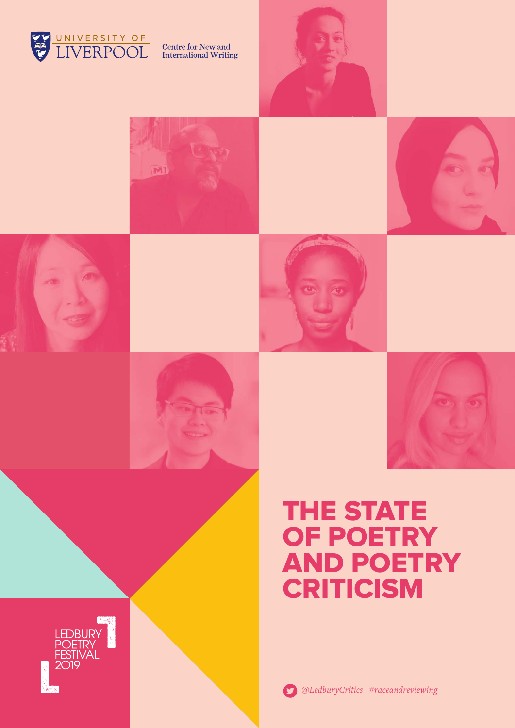









# THE STATE OF POETRY AND POETRY **CRITICISM**

*@LedburyCritics #raceandreviewing*

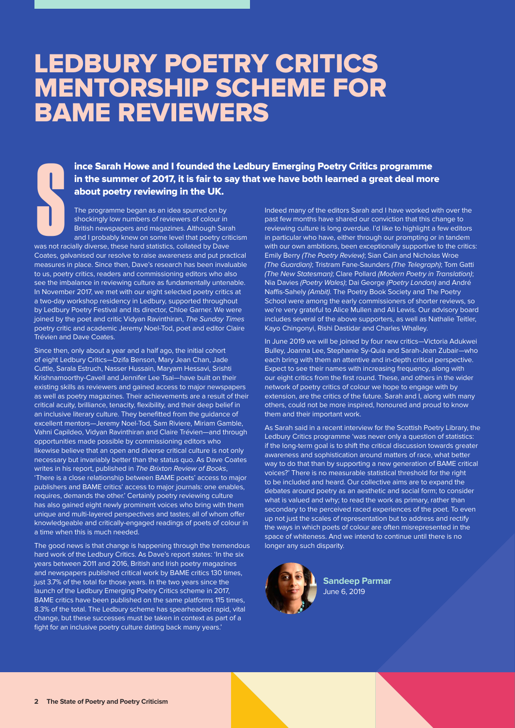# LEDBURY POETRY CRITICS MENTORSHIP SCHEME FOR BAME REVIEWERS

ince Sarah Howe and I founded the Ledbury Emerging Poetry Critics programme in the summer of 2017, it is fair to say that we have both learned a great deal more

The programme began as an idea spurred on by shockingly low numbers of reviewers of colour in British newspapers and magazines. Although Sarah and I probably knew on some level that poetry criticism **ince Sarah Howe and I founded the in the summer of 2017, it is fair to sabout poetry reviewing in the UK.**<br>The programme began as an idea spurred on by shockingly low numbers of reviewers of colour ir British newspapers a

was not racially diverse, these hard statistics, collated by Dave Coates, galvanised our resolve to raise awareness and put practical measures in place. Since then, Dave's research has been invaluable to us, poetry critics, readers and commissioning editors who also see the imbalance in reviewing culture as fundamentally untenable. In November 2017, we met with our eight selected poetry critics at a two-day workshop residency in Ledbury, supported throughout by Ledbury Poetry Festival and its director, Chloe Garner. We were joined by the poet and critic Vidyan Ravinthiran, *The Sunday Times* poetry critic and academic Jeremy Noel-Tod, poet and editor Claire Trévien and Dave Coates.

Since then, only about a year and a half ago, the initial cohort of eight Ledbury Critics—Dzifa Benson, Mary Jean Chan, Jade Cuttle, Sarala Estruch, Nasser Hussain, Maryam Hessavi, Srishti Krishnamoorthy-Cavell and Jennifer Lee Tsai—have built on their existing skills as reviewers and gained access to major newspapers as well as poetry magazines. Their achievements are a result of their critical acuity, brilliance, tenacity, flexibility, and their deep belief in an inclusive literary culture. They benefitted from the guidance of excellent mentors—Jeremy Noel-Tod, Sam Riviere, Miriam Gamble, Vahni Capildeo, Vidyan Ravinthiran and Claire Trévien—and through opportunities made possible by commissioning editors who likewise believe that an open and diverse critical culture is not only necessary but invariably better than the status quo. As Dave Coates writes in his report, published in *The Brixton Review of Books*, 'There is a close relationship between BAME poets' access to major publishers and BAME critics' access to major journals: one enables, requires, demands the other.' Certainly poetry reviewing culture has also gained eight newly prominent voices who bring with them unique and multi-layered perspectives and tastes; all of whom offer knowledgeable and critically-engaged readings of poets of colour in a time when this is much needed.

The good news is that change is happening through the tremendous hard work of the Ledbury Critics. As Dave's report states: 'In the six years between 2011 and 2016, British and Irish poetry magazines and newspapers published critical work by BAME critics 130 times, just 3.7% of the total for those years. In the two years since the launch of the Ledbury Emerging Poetry Critics scheme in 2017, BAME critics have been published on the same platforms 115 times, 8.3% of the total. The Ledbury scheme has spearheaded rapid, vital change, but these successes must be taken in context as part of a fight for an inclusive poetry culture dating back many years.'

Indeed many of the editors Sarah and I have worked with over the past few months have shared our conviction that this change to reviewing culture is long overdue. I'd like to highlight a few editors in particular who have, either through our prompting or in tandem with our own ambitions, been exceptionally supportive to the critics: Emily Berry *(The Poetry Review)*; Sian Cain and Nicholas Wroe *(The Guardian)*; Tristram Fane-Saunders *(The Telegraph)*; Tom Gatti *(The New Statesman)*; Clare Pollard *(Modern Poetry in Translation)*; Nia Davies *(Poetry Wales)*; Dai George *(Poetry London)* and André Naffis-Sahely *(Ambit)*. The Poetry Book Society and The Poetry School were among the early commissioners of shorter reviews, so we're very grateful to Alice Mullen and Ali Lewis. Our advisory board includes several of the above supporters, as well as Nathalie Teitler, Kayo Chingonyi, Rishi Dastidar and Charles Whalley.

In June 2019 we will be joined by four new critics—Victoria Adukwei Bulley, Joanna Lee, Stephanie Sy-Quia and Sarah-Jean Zubair—who each bring with them an attentive and in-depth critical perspective. Expect to see their names with increasing frequency, along with our eight critics from the first round. These, and others in the wider network of poetry critics of colour we hope to engage with by extension, are the critics of the future. Sarah and I, along with many others, could not be more inspired, honoured and proud to know them and their important work.

As Sarah said in a recent interview for the Scottish Poetry Library, the Ledbury Critics programme 'was never only a question of statistics: if the long-term goal is to shift the critical discussion towards greater awareness and sophistication around matters of race, what better way to do that than by supporting a new generation of BAME critical voices?' There is no measurable statistical threshold for the right to be included and heard. Our collective aims are to expand the debates around poetry as an aesthetic and social form; to consider what is valued and why; to read the work as primary, rather than secondary to the perceived raced experiences of the poet. To even up not just the scales of representation but to address and rectify the ways in which poets of colour are often misrepresented in the space of whiteness. And we intend to continue until there is no longer any such disparity.



**Sandeep Parmar**  June 6, 2019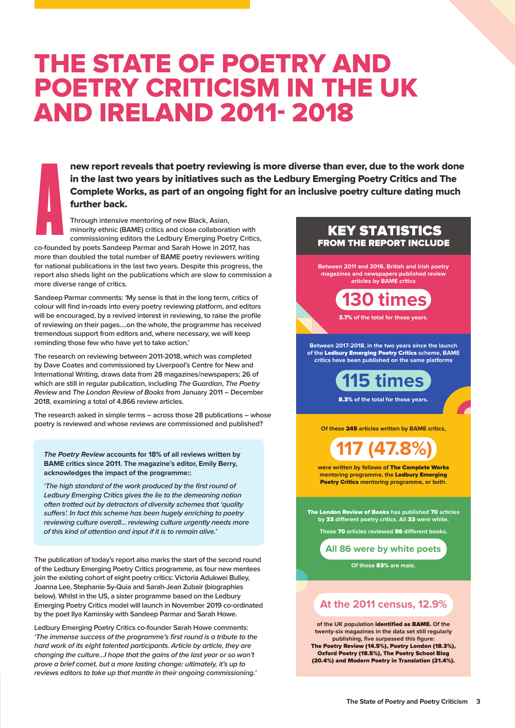# THE STATE OF POETRY AND POETRY CRITICISM IN THE UK AND IRELAND 2011- 2018

new report reveals that poetry reviewing is more diverse than ever, due to the work done in the last two years by initiatives such as the Ledbury Emerging Poetry Critics and The Complete Works, as part of an ongoing fight for an inclusive poetry culture dating much further back.

commissioning editors the Ledbury Emerging Poetry Critics, **Through intensive mentoring of new Black, Asian, minority ethnic (BAME) critics and close collaboration with** 

**BET AND 100 IN 2011 And I will be total number of BAME poetry reviewers writing in the total poetry reviewers writing magazines and newspapers published review for national publications in the last two years. Despite this progress, the**  report also sheds light on the publications which are slow to commission a **co-founded by poets Sandeep Parmar and Sarah Howe in 2017, has more diverse range of critics. A**<br>A<br>Co-found

will be encouraged, by a revived interest in reviewing, to raise the profile enaes.<br>1ents: 'My sense is that in the lon<br>into every poetry reviewing plat reminding those few who have yet to take action.' **Sandeep Parmar comments: 'My sense is that in the long term, critics of colour will find in-roads into every poetry reviewing platform, and editors of reviewing on their pages….on the whole, the programme has received tremendous support from editors and, where necessary, we will keep** 

**the** Ledbury Emerging Poetry Critics **scheme, BAME critics have been published on the same platforms The research on reviewing between 2011-2018, which was completed**  2018, examining a total of 4,866 review articles. **111 hternational Writing, draws data from 28 magazines/newspapers; 26 of the Foetry which are still in regular publication, including** *The Guardian***,** *The Poetry* **by Dave Coates and commissioned by Liverpool's Centre for New and International Writing, draws data from 28 magazines/newspapers; 26 of**  *Review* **and** *The London Review of Books* **from January 2011 – December** 

poetry is reviewed and whose reviews are commissioned and published? **The research asked in simple terms – across those 28 publications – whose** 

**BAME critics since 2011. The magazine's editor, Emily Berry,** acknowledges the impact of the programme::  $\blacksquare$ **117 (47.8%)** *The Poetry Review* **accounts for 18% of all reviews written by** 

often trotted out by detractors of diversity schemes that 'quality 70 **articles by** 33 **dierent poetry critics.**  *suffers'. In fact this scheme has been hugely enriching to poetry*  reviewing culture overall... reviewing culture urgently no<br>of this kind of attention and input if it is to remain alive.' Poetry Critics **mentoring programme, or both.** *'The high standard of the work produced by the first round of Ledbury Emerging Critics gives the lie to the demeaning notion reviewing culture overall… reviewing culture urgently needs more* 

join the existing cohort of eight poetry critics: Victoria Adukwei Bulley, The publication of today's report also marks the start of the second round Emerging Poetry Critics model will launch in November 2019 co-ordinated **of the Ledbury Emerging Poetry Critics programme, as four new mentees Joanna Lee, Stephanie Sy-Quia and Sarah-Jean Zubair (biographies below). Whilst in the US, a sister programme based on the Ledbury by the poet Ilya Kaminsky with Sandeep Parmar and Sarah Howe.** 

**of the UK population identified as BAME. Of the**  *hard work of its eight talented participants. Article by article, they are*  changing the culture...I hope that the gains of the last year or so won't **publishing, five surpassed this figure:** Poetry prove a brief comet, but a more lasting change: ultimately, it's up to Poetry **(18.5%),** The Poetry School Blog **(20.4%)**  *reviews editors to take up that mantle in their ongoing commissioning.'*by the poet hya Kaminsky with Sandeep Parmar and Sarah Howe.<br>Ledbury Emerging Poetry Critics co-founder Sarah Howe comments:<br>*'The immense success of the programme's first round is a tribute to the* **Ledbury Emerging Poetry Critics co-founder Sarah Howe comments:** 

## FROM THE REPORT INCLUDE KEY STATISTICS

**Between 2011 and 2016, British and Irish poetry magazines and newspapers published review articles by BAME critics**

**130 times**

3.7% **of the total for those years.**

**Between 2017-2018, in the two years since the launch of the** Ledbury Emerging Poetry Critics **scheme, BAME critics have been published on the same platforms** 

> **115 times** 8.3% **of the total for those years.**

**Of these** 245 **articles written by BAME critics,**

**117 (47.8%)**

**were written by fellows of** The Complete Works **mentoring programme, the** Ledbury Emerging Poetry Critics **mentoring programme, or both.**

The London Review of Books **has published** 70 **articles by** 33 **dierent poetry critics. All** 33 **were white.**

**Those 70 articles reviewed 86 different books.** 

**All 86 were by white poets**

**Of those** 83% **are male.** 

### **At the 2011 census, 12.9%**

**of the UK population** identified as BAME. **Of the twenty-six magazines in the data set still regularly publishing, five surpassed this figure:**  The Poetry Review (14.5%), Poetry London (18.3%), Oxford Poetry (18.5%), The Poetry School Blog (20.4%) and Modern Poetry in Translation (21.4%).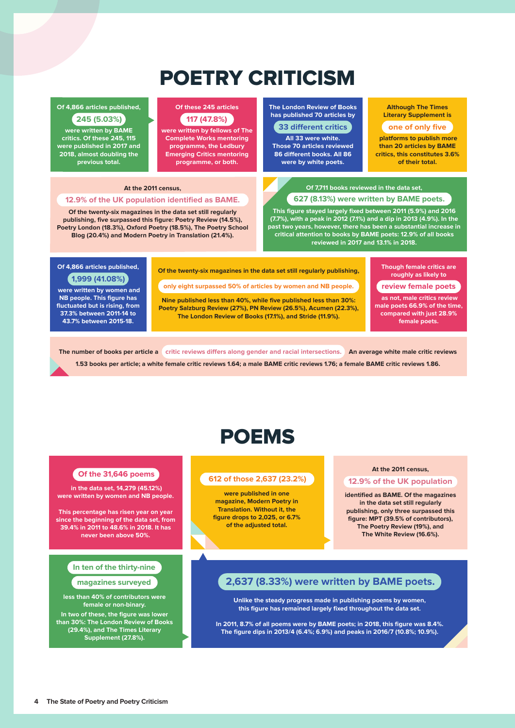## POETRY CRITICISM

### **14,866** articles published, **Witch a a a a b b a a a a b c c**

**The risk percentage has risk in the critics. Of these 245, 115 since the beginning of the data set, were published in 2017 and from 30.4 and 30.4 and 30.4 and 30.4 and 30.4 and 30.4 and 30.4 and 30.4 and 30.4 and 30.4 and 30.4 and 30.4 and 30.4 and 30.4 and 30.4 and 30.4 and 30.4 and 30.4 and 30.4 and 30.4 and 30.4 and 30.4 and 30.4 and 30.4 and Industrial. Previous total. were written by BAME** 

### **Of these 245 articles 117 (47.8%)**

**programme, the Ledbury Those 70**<br> **programme, the Ledbury Contract of the Contract of the Contract of the Contract of the Contract of the Contract o programme, or both. Comparently Complete Works mentoring were written by fellows of The Emerging Critics mentoring** 

### **At the 2011 census,**

### **12.9% of the UK population identified as BAME.**

**Of the twenty-six magazines in the data set still regularly of contributors were publishing, five surpassed this figure: Poetry Review (14.5%), female or non-binary Blog (20.4%) and Modern Poetry in Translation (21.4%). Poetry London (18.3%), Oxford Poetry (18.5%), The Poetry School** 

**612 of those 2,637 (23.2%) 12.9% of the UK population The London Review of Books has published 70 articles by 33 different critics** 

**All 33 were white. Those 70 articles reviewed 86 different books. All 86 were by white poets.**

#### **identified as BAME. Literary Supplement is Of the magazines in the data set Although The Times**

### **still be considered** to consider the set of only five  $\bullet$

**platforms to publish more MPT (39.5% of CONSTRUCTER 1998)**<br>**Critics, this constitutes 3.6% Post Conservation Conservation Conservation Conservation Conservation Conservation Conservation Conservation Conservation Conservation Conservation Conservation Conservation Conservation Conservation Conservation Conserva than 20 articles by BAME**

**and The White Review (16.6%).**

### **Of 7,711 books reviewed in the data set, 627 (8.13%) were written by BAME poets.**

**2,637 (8.33%) were written by BAME poets. (7.7%), with a peak in 2012 (7.1%) and a dip in 2013 (4.9%). In the Unities the stead attention to books by BAME poets: 12.9% of all books**<br>Continued in 2017 and 12.1% in 2019 **this figure has remained largely fixed throughout the data set. This figure stayed largely fixed between 2011 (5.9%) and 2016 past two years, however, there has been a substantial increase in reviewed in 2017 and 13.1% in 2018.**

### **lower than 30% Of 4,866 articles published, The London Review of Books (29.4%), and The Times 1,999 (41.08%)**

**Litterary Women and NB people. This figure has fluctuated but is rising, from 37.3% between 2011-14 to 43.7% between 2015-18.**

#### **In 2011, 8.7% of all poems were by BAME poets; in 2018, this figure was 8.4%. Though female critics are Of the twenty-six magazines in the data set still regularly publishing,**

**only eight surpassed 50% of articles by women and NB people.**

**Nine published less than 40%, while five published less than 30%: Poetry Salzburg Review (27%), PN Review (26.5%), Acumen (22.3%), The London Review of Books (17.1%), and Stride (11.9%).**

**The figure of the catalogue of the figure in 2013/4 (10.9%).** The peaks in 2015/7 (10.9%) and **peaks in 2016** 

### **review female poets**

 **as not, male critics review male poets 66.9% of the time, compared with just 28.9% female poets.**

The number of books per article a **critic reviews differs along gender and racial intersections.** An average white male critic reviews

**1.53 books per article; a white female critic reviews 1.64; a male BAME critic reviews 1.76; a female BAME critic reviews 1.86.**

## POEMS

 **in the data set, 14,279 (45.12%) were written by women and NB people.**

**This percentage has risen year on year since the beginning of the data set, from 39.4% in 2011 to 48.6% in 2018. It has never been above 50%.**

### **In ten of the thirty-nine**

**less than 40% of contributors were female or non-binary.** 

**In two of these, the figure was lower than 30%: The London Review of Books (29.4%), and The Times Literary Supplement (27.8%).**

## **612 of those 2,637 (23.2%) 12.9% of the UK population Of the UK population**

**were published in one magazine, Modern Poetry in Translation. Without it, the figure drops to 2,025, or 6.7% of the adjusted total.**

### **At the 2011 census,**

**identified as BAME. Of the magazines in the data set still regularly publishing, only three surpassed this figure: MPT (39.5% of contributors), The Poetry Review (19%), and The White Review (16.6%).**

### **magazines surveyed 2,637 (8.33%) were written by BAME poets.**

**Unlike the steady progress made in publishing poems by women, this figure has remained largely fixed throughout the data set.** 

**In 2011, 8.7% of all poems were by BAME poets; in 2018, this figure was 8.4%. The figure dips in 2013/4 (6.4%; 6.9%) and peaks in 2016/7 (10.8%; 10.9%).**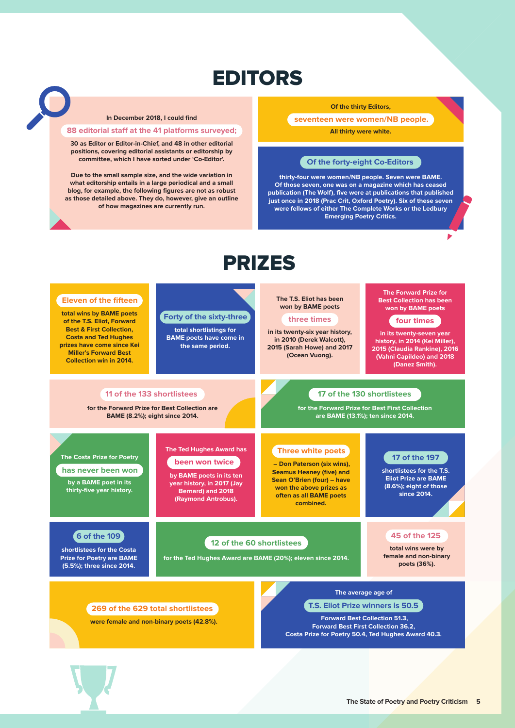## EDITORS

### **In December 2018, I could find**

### **88 editorial staff at the 41 platforms surveyed;**

**30 as Editor or Editor-in-Chief, and 48 in other editorial positions, covering editorial assistants or editorship by committee, which I have sorted under 'Co-Editor'.** 

**Due to the small sample size, and the wide variation in what editorship entails in a large periodical and a small blog, for example, the following figures are not as robust as those detailed above. They do, however, give an outline of how magazines are currently run.**

### **Of the thirty Editors,**

**All thirty were white. seventeen were women/NB people.**

### **Of the forty-eight Co-Editors**

**thirty-four were women/NB people. Seven were BAME. Of those seven, one was on a magazine which has ceased publication (The Wolf), five were at publications that published just once in 2018 (Prac Crit, Oxford Poetry). Six of these seven were fellows of either The Complete Works or the Ledbury Emerging Poetry Critics.**

٠

## PRIZES

#### **total wins by BAME poets of the T.S. Eliot, Forward Best & First Collection, Costa and Ted Hughes prizes have come since Kei Miller's Forward Best Collection win in 2014. The T.S. Eliot has been won by BAME poets in its twenty-six year history, in 2010 (Derek Walcott), 2015 (Sarah Howe) and 2017 (Ocean Vuong). three times The Forward Prize for Best Collection has been won by BAME poets in its twenty-seven year history, in 2014 (Kei Miller), 2015 (Claudia Rankine), 2016 (Vahni Capildeo) and 2018 (Danez Smith). four times total wins were by female and non-binary poets (36%). 45 of the 125 Eleven of the fifteen The Costa Prize for Poetry by a BAME poet in its thirty-five year history. has never been won The Ted Hughes Award has by BAME poets in its ten year history, in 2017 (Jay Bernard) and 2018 (Raymond Antrobus). been won twice**  $\begin{array}{|c|c|c|c|c|c|} \hline \quad & -\text{Don Paterson (six wins)}. \hline \end{array}$ **Seamus Heaney (five) and Sean O'Brien (four) – have won the above prizes as often as all BAME poets combined. Three white poets shortlistees for the T.S. Eliot Prize are BAME (8.6%); eight of those since 2014. 17 of the 197 total shortlistings for BAME poets have come in the same period. Forty of the sixty-three shortlistees for the Costa Prize for Poetry are BAME (5.5%); three since 2014. 6 of the 109 for the Forward Prize for Best Collection are BAME (8.2%); eight since 2014. 11 of the 133 shortlistees for the Ted Hughes Award are BAME (20%); eleven since 2014. 12 of the 60 shortlistees were female and non-binary poets (42.8%). 269 of the 629 total shortlistees The average age of Forward Best Collection 51.3, Forward Best First Collection 36.2, Costa Prize for Poetry 50.4, Ted Hughes Award 40.3. T.S. Eliot Prize winners is 50.5 for the Forward Prize for Best First Collection are BAME (13.1%); ten since 2014. 17 of the 130 shortlistees**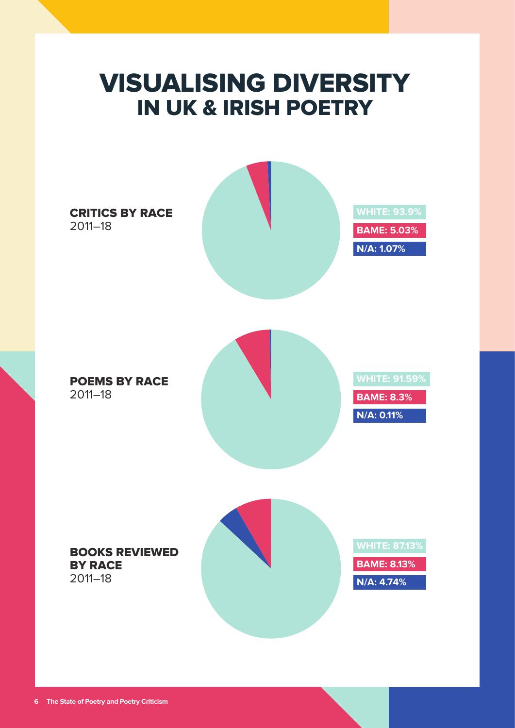# VISUALISING DIVERSITY IN UK & IRISH POETRY

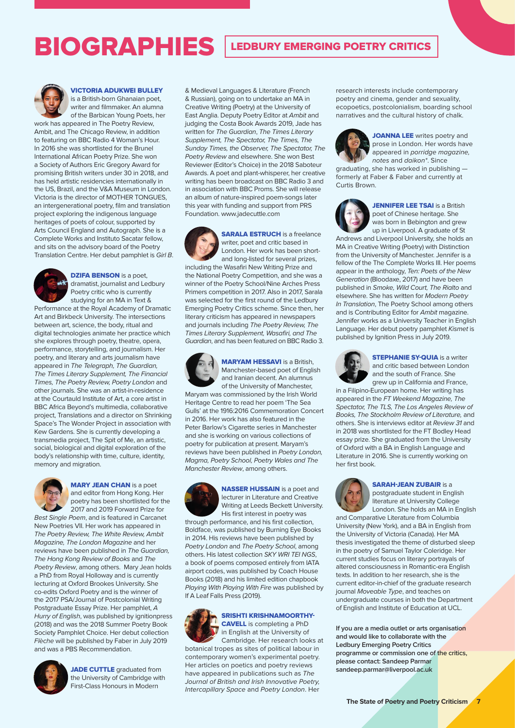## BIOGRAPHIES LEDBURY EMERGING POETRY CRITICS



### VICTORIA ADUKWEI BULLEY

is a British-born Ghanaian poet, writer and filmmaker. An alumna of the Barbican Young Poets, her

work has appeared in The Poetry Review, Ambit, and The Chicago Review, in addition to featuring on BBC Radio 4 Woman's Hour. In 2016 she was shortlisted for the Brunel International African Poetry Prize. She won a Society of Authors Eric Gregory Award for promising British writers under 30 in 2018, and has held artistic residencies internationally in the US, Brazil, and the V&A Museum in London. Victoria is the director of MOTHER TONGUES an intergenerational poetry, film and translation project exploring the indigenous language heritages of poets of colour, supported by Arts Council England and Autograph. She is a Complete Works and Instituto Sacatar fellow, and sits on the advisory board of the Poetry Translation Centre. Her debut pamphlet is *Girl B*.



### **DZIFA BENSON** is a poet, dramatist, journalist and Ledbury

Poetry critic who is currently studying for an MA in Text & Performance at the Royal Academy of Dramatic Art and Birkbeck University. The intersections between art, science, the body, ritual and digital technologies animate her practice which she explores through poetry, theatre, opera, performance, storytelling, and journalism. Her poetry, and literary and arts journalism have appeared in *The Telegraph, The Guardian, The Times Literary Supplement, The Financial Times, The Poetry Review, Poetry London* and other journals. She was an artist-in-residence at the Courtauld Institute of Art, a core artist in BBC Africa Beyond's multimedia, collaborative project, Translations and a director on Shrinking Space's The Wonder Project in association with Kew Gardens. She is currently developing a transmedia project, The Spit of Me, an artistic, social, biological and digital exploration of the body's relationship with time, culture, identity, memory and migration.



### **MARY JEAN CHAN** is a poet and editor from Hong Kong. Her poetry has been shortlisted for the 2017 and 2019 Forward Prize for *Best Single Poem*, and is featured in Carcanet

New Poetries VII. Her work has appeared in *The Poetry Review, The White Review, Ambit Magazine, The London Magazine* and her reviews have been published in *The Guardian, The Hong Kong Review of Books* and *The Poetry Review*, among others. Mary Jean holds a PhD from Royal Holloway and is currently lecturing at Oxford Brookes University. She co-edits Oxford Poetry and is the winner of the 2017 PSA/Journal of Postcolonial Writing Postgraduate Essay Prize. Her pamphlet, *A Hurry of English*, was published by ignitionpress (2018) and was the 2018 Summer Poetry Book Society Pamphlet Choice. Her debut collection *Flèche* will be published by Faber in July 2019 and was a PBS Recommendation.



JADE CUTTLE graduated from the University of Cambridge with First-Class Honours in Modern

& Medieval Languages & Literature (French & Russian), going on to undertake an MA in Creative Writing (Poetry) at the University of East Anglia. Deputy Poetry Editor at *Ambit* and judging the Costa Book Awards 2019, Jade has written for *The Guardian*, *The Times Literary Supplement, The Spectator, The Times, The Sunday Times, the Observer, The Spectator, The Poetry Review* and elsewhere. She won Best Reviewer (Editor's Choice) in the 2018 Saboteur Awards. A poet and plant-whisperer, her creative writing has been broadcast on BBC Radio 3 and in association with BBC Proms. She will release an album of nature-inspired poem-songs later this year with funding and support from PRS Foundation. www.jadecuttle.com



**SARALA ESTRUCH** is a freelance writer, poet and critic based in London. Her work has been shortand long-listed for several prizes,

including the Wasafiri New Writing Prize and the National Poetry Competition, and she was a winner of the Poetry School/Nine Arches Press Primers competition in 2017. Also in 2017, Sarala was selected for the first round of the Ledbury Emerging Poetry Critics scheme. Since then, her literary criticism has appeared in newspapers and journals including *The Poetry Review, The Times Literary Supplement, Wasafiri, and The Guardian*, and has been featured on BBC Radio 3.



### **MARYAM HESSAVI** is a British, Manchester-based poet of English and Iranian decent. An alumnus of the University of Manchester,

Maryam was commissioned by the Irish World Heritage Centre to read her poem 'The Sea Gulls' at the 1916:2016 Commemoration Concert in 2016. Her work has also featured in the Peter Barlow's Cigarette series in Manchester and she is working on various collections of poetry for publication at present. Maryam's reviews have been published in *Poetry London, Magma, Poetry School, Poetry Wales and The Manchester Review*, among others.



NASSER HUSSAIN is a poet and lecturer in Literature and Creative Writing at Leeds Beckett University. His first interest in poetry was

through performance, and his first collection, Boldface, was published by Burning Eye Books in 2014. His reviews have been published by *Poetry London* and *The Poetry School*, among others. His latest collection *SKY WRI TEI NGS*, a book of poems composed entirely from IATA airport codes, was published by Coach House Books (2018) and his limited edition chapbook *Playing With Playing With Fire* was published by If A Leaf Falls Press (2019).



### SRISHTI KRISHNAMOORTHY-CAVELL is completing a PhD



*Journal of British and Irish Innovative Poetry, Intercapillary Space* and *Poetry London*. Her

research interests include contemporary poetry and cinema, gender and sexuality, ecopoetics, postcolonialism, boarding school narratives and the cultural history of chalk.



JOANNA LEE writes poetry and prose in London. Her words have appeared in *porridge magazine, notes* and *daikon\**. Since

graduating, she has worked in publishing formerly at Faber & Faber and currently at Curtis Brown.



**JENNIFER LEE TSAI** is a British poet of Chinese heritage. She was born in Bebington and grew up in Liverpool. A graduate of St

Andrews and Liverpool University, she holds an MA in Creative Writing (Poetry) with Distinction from the University of Manchester. Jennifer is a fellow of the The Complete Works III. Her poems appear in the anthology, *Ten: Poets of the New Generation* (Bloodaxe, 2017) and have been published in *Smoke, Wild Court, The Rialto* and elsewhere. She has written for *Modern Poetry In Translation*, The Poetry School among others and is Contributing Editor for *Ambit* magazine. Jennifer works as a University Teacher in English Language. Her debut poetry pamphlet *Kismet* is published by Ignition Press in July 2019.



**STEPHANIE SY-QUIA** is a writer and critic based between London and the south of France. She grew up in California and France,

in a Filipino-European home. Her writing has appeared in the *FT Weekend Magazine, The Spectator, The TLS, The Los Angeles Review of Books, The Stockholm Review of Literature,* and others. She is interviews editor at *Review 31* and in 2018 was shortlisted for the FT Bodley Head essay prize. She graduated from the University of Oxford with a BA in English Language and Literature in 2016. She is currently working on her first book.



SARAH-JEAN ZUBAIR is a postgraduate student in English literature at University College London. She holds an MA in English

and Comparative Literature from Columbia University (New York), and a BA in English from the University of Victoria (Canada). Her MA thesis investigated the theme of disturbed sleep in the poetry of Samuel Taylor Coleridge. Her current studies focus on literary portrayals of altered consciousness in Romantic-era English texts. In addition to her research, she is the current editor-in-chief of the graduate research journal *Moveable Type*, and teaches on undergraduate courses in both the Department of English and Institute of Education at UCL.

**If you are a media outlet or arts organisation and would like to collaborate with the Ledbury Emerging Poetry Critics programme or commission one of the critics, please contact: Sandeep Parmar sandeep.parmar@liverpool.ac.uk**